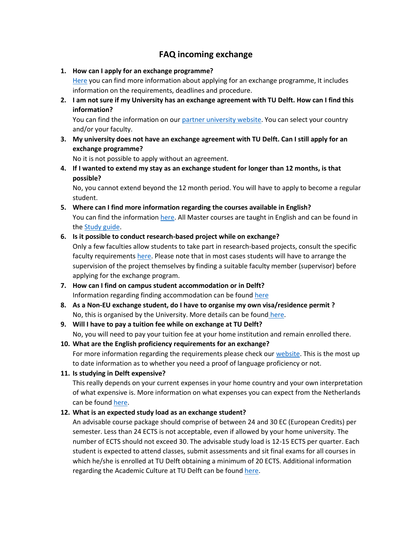## **FAQ incoming exchange**

## **1. How can I apply for an exchange programme?**

[Here](https://www.tudelft.nl/en/education/admission-and-application/exchange-students/requirements/) you can find more information about applying for an exchange programme, It includes information on the requirements, deadlines and procedure.

**2. I am not sure if my University has an exchange agreement with TU Delft. How can I find this information?** 

You can find the information on ou[r partner university website.](https://partneruniversities.tudelft.nl/StudentExchange/#SEARCHPANEL) You can select your country and/or your faculty.

**3. My university does not have an exchange agreement with TU Delft. Can I still apply for an exchange programme?**

No it is not possible to apply without an agreement.

**4. If I wanted to extend my stay as an exchange student for longer than 12 months, is that possible?**

No, you cannot extend beyond the 12 month period. You will have to apply to become a regular student.

**5. Where can I find more information regarding the courses available in English?** You can find the informatio[n here.](List%20of%20English%20courses%202020-2021%20FINAL%20VERSION.pdf) All Master courses are taught in English and can be found in th[e Study guide.](https://studiegids.tudelft.nl/bbDefault.do?SIS_SwitchLang=en)

## **6. Is it possible to conduct research-based project while on exchange?**

Only a few faculties allow students to take part in research-based projects, consult the specific faculty requirements [here.](https://www.tudelft.nl/onderwijs/toelating-en-aanmelding/exchange-students/requirements/course-selection-restrictions/) Please note that in most cases students will have to arrange the supervision of the project themselves by finding a suitable faculty member (supervisor) before applying for the exchange program.

- **7. How can I find on campus student accommodation or in Delft?** Information regarding finding accommodation can be foun[d here](https://www.tudelft.nl/en/education/practical-matters/housing)
- **8. As a Non-EU exchange student, do I have to organise my own visa/residence permit ?** No, this is organised by the University. More details can be found [here.](https://www.tudelft.nl/en/education/practical-matters/visa-residence-permit)
- **9. Will I have to pay a tuition fee while on exchange at TU Delft?** No, you will need to pay your tuition fee at your home institution and remain enrolled there.
- **10. What are the English proficiency requirements for an exchange?** For more information regarding the requirements please check our [website.](https://www.tudelft.nl/onderwijs/toelating-en-aanmelding/exchange-students/requirements/required-documents#c424927) This is the most up to date information as to whether you need a proof of language proficiency or not.
- **11. Is studying in Delft expensive?**

This really depends on your current expenses in your home country and your own interpretation of what expensive is. More information on what expenses you can expect from the Netherlands can be found [here.](https://www.studyinholland.nl/finances/daily-student-expenses-and-cost-of-living-in-holland)

## **12. What is an expected study load as an exchange student?**

An advisable course package should comprise of between 24 and 30 EC (European Credits) per semester. Less than 24 ECTS is not acceptable, even if allowed by your home university. The number of ECTS should not exceed 30. The advisable study load is 12-15 ECTS per quarter. Each student is expected to attend classes, submit assessments and sit final exams for all courses in which he/she is enrolled at TU Delft obtaining a minimum of 20 ECTS. Additional information regarding the Academic Culture at TU Delft can be foun[d here.](https://d1rkab7tlqy5f1.cloudfront.net/TUDelft/Onderwijs/Toelating_en_aanmelding/Exchange/Preparing_for_the_Academic_Culture_at_TU_Delft_new_version_Renate4__Final_Version_.pdf)